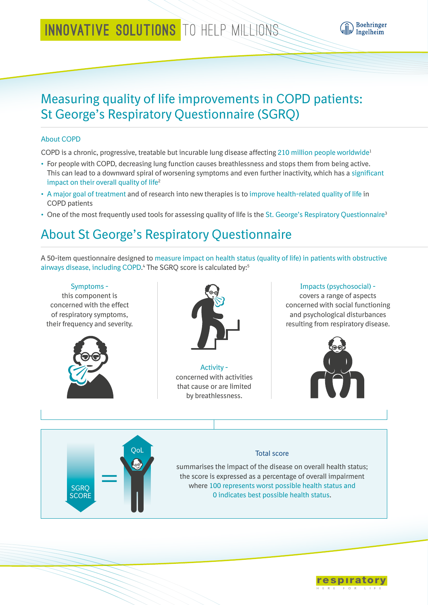# INNOVATIVE SOLUTIONS TO HELP MILLIONS



## Measuring quality of life improvements in COPD patients: St George's Respiratory Questionnaire (SGRQ)

#### About COPD

COPD is a chronic, progressive, treatable but incurable lung disease affecting 210 million people worldwide1

- For people with COPD, decreasing lung function causes breathlessness and stops them from being active. This can lead to a downward spiral of worsening symptoms and even further inactivity, which has a significant impact on their overall quality of life<sup>2</sup>
- A major goal of treatment and of research into new therapies is to improve health-related quality of life in COPD patients
- One of the most frequently used tools for assessing quality of life is the St. George's Respiratory Questionnaire<sup>3</sup>  $S_{\text{eff}}$  Georges Repiratory

## About St George's Respiratory Questionnaire Questionnaire

A 50-item questionnaire designed to measure impact on health status (quality of life) in patients with obstructive airways disease, including COPD.<sup>4</sup> The SGRQ score is calculated by:<sup>5</sup> St Georges Repiratory

#### Symptoms this component is concerned with the effect of respiratory symptoms, their frequency and severity. Activity concerned with activities that cause or are limited by breathlessness. Impacts (psychosocial) covers a range of aspects concerned with social functioning and psychological disturbances resulting from respiratory disease. Total score summarises the impact of the disease on overall health status; the score is expressed as a percentage of overall impairment where 100 represents worst possible health status and 0 indicates best possible health status. QoL **SGRO SCORE** Questionnaire  $\overline{C}$  100  $\overline{C}$  100  $\overline{C}$  100  $\overline{C}$  100  $\overline{C}$  100  $\overline{C}$  100  $\overline{C}$  100  $\overline{C}$  100  $\overline{C}$  100  $\overline{C}$  100  $\overline{C}$  100  $\overline{C}$  100  $\overline{C}$  100  $\overline{C}$  100  $\overline{C}$  100  $\overline{C}$  100  $\overline{C}$  100 0% 100% 100% 100% 100% 100% 100% 100%